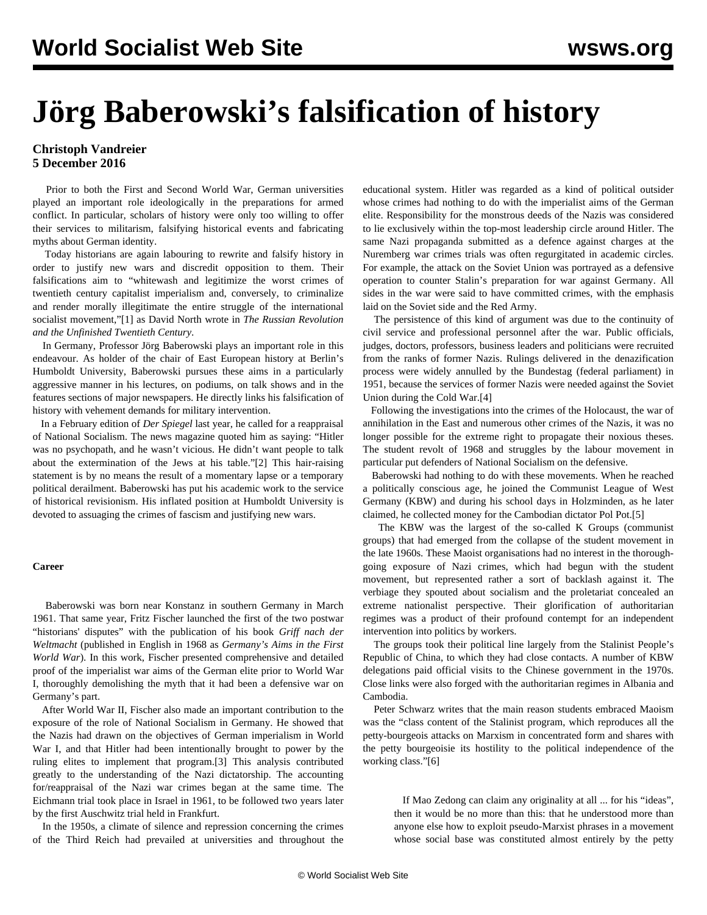# **Jörg Baberowski's falsification of history**

# **Christoph Vandreier 5 December 2016**

 Prior to both the First and Second World War, German universities played an important role ideologically in the preparations for armed conflict. In particular, scholars of history were only too willing to offer their services to militarism, falsifying historical events and fabricating myths about German identity.

 Today historians are again labouring to rewrite and falsify history in order to justify new wars and discredit opposition to them. Their falsifications aim to "whitewash and legitimize the worst crimes of twentieth century capitalist imperialism and, conversely, to criminalize and render morally illegitimate the entire struggle of the international socialist movement,"[1] as David North wrote in *The Russian Revolution and the Unfinished Twentieth Century*.

 In Germany, Professor Jörg Baberowski plays an important role in this endeavour. As holder of the chair of East European history at Berlin's Humboldt University, Baberowski pursues these aims in a particularly aggressive manner in his lectures, on podiums, on talk shows and in the features sections of major newspapers. He directly links his falsification of history with vehement demands for military intervention.

 In a February edition of *Der Spiegel* last year, he called for a reappraisal of National Socialism. The news magazine quoted him as saying: "Hitler was no psychopath, and he wasn't vicious. He didn't want people to talk about the extermination of the Jews at his table."[2] This hair-raising statement is by no means the result of a momentary lapse or a temporary political derailment. Baberowski has put his academic work to the service of historical revisionism. His inflated position at Humboldt University is devoted to assuaging the crimes of fascism and justifying new wars.

## **Career**

 Baberowski was born near Konstanz in southern Germany in March 1961. That same year, Fritz Fischer launched the first of the two postwar "historians' disputes" with the publication of his book *Griff nach der Weltmacht* (published in English in 1968 as *Germany's Aims in the First World War*). In this work, Fischer presented comprehensive and detailed proof of the imperialist war aims of the German elite prior to World War I, thoroughly demolishing the myth that it had been a defensive war on Germany's part.

 After World War II, Fischer also made an important contribution to the exposure of the role of National Socialism in Germany. He showed that the Nazis had drawn on the objectives of German imperialism in World War I, and that Hitler had been intentionally brought to power by the ruling elites to implement that program.[3] This analysis contributed greatly to the understanding of the Nazi dictatorship. The accounting for/reappraisal of the Nazi war crimes began at the same time. The Eichmann trial took place in Israel in 1961, to be followed two years later by the first Auschwitz trial held in Frankfurt.

 In the 1950s, a climate of silence and repression concerning the crimes of the Third Reich had prevailed at universities and throughout the educational system. Hitler was regarded as a kind of political outsider whose crimes had nothing to do with the imperialist aims of the German elite. Responsibility for the monstrous deeds of the Nazis was considered to lie exclusively within the top-most leadership circle around Hitler. The same Nazi propaganda submitted as a defence against charges at the Nuremberg war crimes trials was often regurgitated in academic circles. For example, the attack on the Soviet Union was portrayed as a defensive operation to counter Stalin's preparation for war against Germany. All sides in the war were said to have committed crimes, with the emphasis laid on the Soviet side and the Red Army.

 The persistence of this kind of argument was due to the continuity of civil service and professional personnel after the war. Public officials, judges, doctors, professors, business leaders and politicians were recruited from the ranks of former Nazis. Rulings delivered in the denazification process were widely annulled by the Bundestag (federal parliament) in 1951, because the services of former Nazis were needed against the Soviet Union during the Cold War.[4]

 Following the investigations into the crimes of the Holocaust, the war of annihilation in the East and numerous other crimes of the Nazis, it was no longer possible for the extreme right to propagate their noxious theses. The student revolt of 1968 and struggles by the labour movement in particular put defenders of National Socialism on the defensive.

 Baberowski had nothing to do with these movements. When he reached a politically conscious age, he joined the Communist League of West Germany (KBW) and during his school days in Holzminden, as he later claimed, he collected money for the Cambodian dictator Pol Pot.[5]

 The KBW was the largest of the so-called K Groups (communist groups) that had emerged from the collapse of the student movement in the late 1960s. These Maoist organisations had no interest in the thoroughgoing exposure of Nazi crimes, which had begun with the student movement, but represented rather a sort of backlash against it. The verbiage they spouted about socialism and the proletariat concealed an extreme nationalist perspective. Their glorification of authoritarian regimes was a product of their profound contempt for an independent intervention into politics by workers.

 The groups took their political line largely from the Stalinist People's Republic of China, to which they had close contacts. A number of KBW delegations paid official visits to the Chinese government in the 1970s. Close links were also forged with the authoritarian regimes in Albania and Cambodia.

 Peter Schwarz writes that the main reason students embraced Maoism was the "class content of the Stalinist program, which reproduces all the petty-bourgeois attacks on Marxism in concentrated form and shares with the petty bourgeoisie its hostility to the political independence of the working class."[6]

 If Mao Zedong can claim any originality at all ... for his "ideas", then it would be no more than this: that he understood more than anyone else how to exploit pseudo-Marxist phrases in a movement whose social base was constituted almost entirely by the petty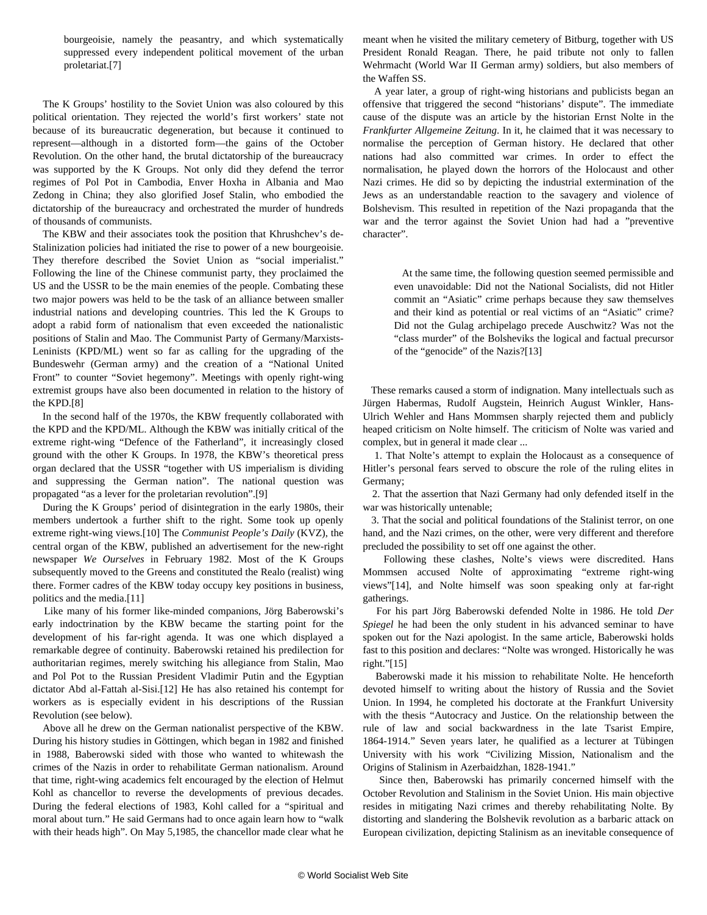bourgeoisie, namely the peasantry, and which systematically suppressed every independent political movement of the urban proletariat.[7]

 The K Groups' hostility to the Soviet Union was also coloured by this political orientation. They rejected the world's first workers' state not because of its bureaucratic degeneration, but because it continued to represent—although in a distorted form—the gains of the October Revolution. On the other hand, the brutal dictatorship of the bureaucracy was supported by the K Groups. Not only did they defend the terror regimes of Pol Pot in Cambodia, Enver Hoxha in Albania and Mao Zedong in China; they also glorified Josef Stalin, who embodied the dictatorship of the bureaucracy and orchestrated the murder of hundreds of thousands of communists.

 The KBW and their associates took the position that Khrushchev's de-Stalinization policies had initiated the rise to power of a new bourgeoisie. They therefore described the Soviet Union as "social imperialist." Following the line of the Chinese communist party, they proclaimed the US and the USSR to be the main enemies of the people. Combating these two major powers was held to be the task of an alliance between smaller industrial nations and developing countries. This led the K Groups to adopt a rabid form of nationalism that even exceeded the nationalistic positions of Stalin and Mao. The Communist Party of Germany/Marxists-Leninists (KPD/ML) went so far as calling for the upgrading of the Bundeswehr (German army) and the creation of a "National United Front" to counter "Soviet hegemony". Meetings with openly right-wing extremist groups have also been documented in relation to the history of the KPD.[8]

 In the second half of the 1970s, the KBW frequently collaborated with the KPD and the KPD/ML. Although the KBW was initially critical of the extreme right-wing "Defence of the Fatherland", it increasingly closed ground with the other K Groups. In 1978, the KBW's theoretical press organ declared that the USSR "together with US imperialism is dividing and suppressing the German nation". The national question was propagated "as a lever for the proletarian revolution".[9]

 During the K Groups' period of disintegration in the early 1980s, their members undertook a further shift to the right. Some took up openly extreme right-wing views.[10] The *Communist People's Daily* (KVZ), the central organ of the KBW, published an advertisement for the new-right newspaper *We Ourselves* in February 1982. Most of the K Groups subsequently moved to the Greens and constituted the Realo (realist) wing there. Former cadres of the KBW today occupy key positions in business, politics and the media.[11]

 Like many of his former like-minded companions, Jörg Baberowski's early indoctrination by the KBW became the starting point for the development of his far-right agenda. It was one which displayed a remarkable degree of continuity. Baberowski retained his predilection for authoritarian regimes, merely switching his allegiance from Stalin, Mao and Pol Pot to the Russian President Vladimir Putin and the Egyptian dictator Abd al-Fattah al-Sisi.[12] He has also retained his contempt for workers as is especially evident in his descriptions of the Russian Revolution (see below).

 Above all he drew on the German nationalist perspective of the KBW. During his history studies in Göttingen, which began in 1982 and finished in 1988, Baberowski sided with those who wanted to whitewash the crimes of the Nazis in order to rehabilitate German nationalism. Around that time, right-wing academics felt encouraged by the election of Helmut Kohl as chancellor to reverse the developments of previous decades. During the federal elections of 1983, Kohl called for a "spiritual and moral about turn." He said Germans had to once again learn how to "walk with their heads high". On May 5,1985, the chancellor made clear what he meant when he visited the military cemetery of Bitburg, together with US President Ronald Reagan. There, he paid tribute not only to fallen Wehrmacht (World War II German army) soldiers, but also members of the Waffen SS.

 A year later, a group of right-wing historians and publicists began an offensive that triggered the second "historians' dispute". The immediate cause of the dispute was an article by the historian Ernst Nolte in the *Frankfurter Allgemeine Zeitung*. In it, he claimed that it was necessary to normalise the perception of German history. He declared that other nations had also committed war crimes. In order to effect the normalisation, he played down the horrors of the Holocaust and other Nazi crimes. He did so by depicting the industrial extermination of the Jews as an understandable reaction to the savagery and violence of Bolshevism. This resulted in repetition of the Nazi propaganda that the war and the terror against the Soviet Union had had a "preventive character".

 At the same time, the following question seemed permissible and even unavoidable: Did not the National Socialists, did not Hitler commit an "Asiatic" crime perhaps because they saw themselves and their kind as potential or real victims of an "Asiatic" crime? Did not the Gulag archipelago precede Auschwitz? Was not the "class murder" of the Bolsheviks the logical and factual precursor of the "genocide" of the Nazis?[13]

 These remarks caused a storm of indignation. Many intellectuals such as Jürgen Habermas, Rudolf Augstein, Heinrich August Winkler, Hans-Ulrich Wehler and Hans Mommsen sharply rejected them and publicly heaped criticism on Nolte himself. The criticism of Nolte was varied and complex, but in general it made clear ...

 1. That Nolte's attempt to explain the Holocaust as a consequence of Hitler's personal fears served to obscure the role of the ruling elites in Germany;

 2. That the assertion that Nazi Germany had only defended itself in the war was historically untenable;

 3. That the social and political foundations of the Stalinist terror, on one hand, and the Nazi crimes, on the other, were very different and therefore precluded the possibility to set off one against the other.

 Following these clashes, Nolte's views were discredited. Hans Mommsen accused Nolte of approximating "extreme right-wing views"[14], and Nolte himself was soon speaking only at far-right gatherings.

 For his part Jörg Baberowski defended Nolte in 1986. He told *Der Spiegel* he had been the only student in his advanced seminar to have spoken out for the Nazi apologist. In the same article, Baberowski holds fast to this position and declares: "Nolte was wronged. Historically he was right."[15]

 Baberowski made it his mission to rehabilitate Nolte. He henceforth devoted himself to writing about the history of Russia and the Soviet Union. In 1994, he completed his doctorate at the Frankfurt University with the thesis "Autocracy and Justice. On the relationship between the rule of law and social backwardness in the late Tsarist Empire, 1864-1914." Seven years later, he qualified as a lecturer at Tübingen University with his work "Civilizing Mission, Nationalism and the Origins of Stalinism in Azerbaidzhan, 1828-1941."

 Since then, Baberowski has primarily concerned himself with the October Revolution and Stalinism in the Soviet Union. His main objective resides in mitigating Nazi crimes and thereby rehabilitating Nolte. By distorting and slandering the Bolshevik revolution as a barbaric attack on European civilization, depicting Stalinism as an inevitable consequence of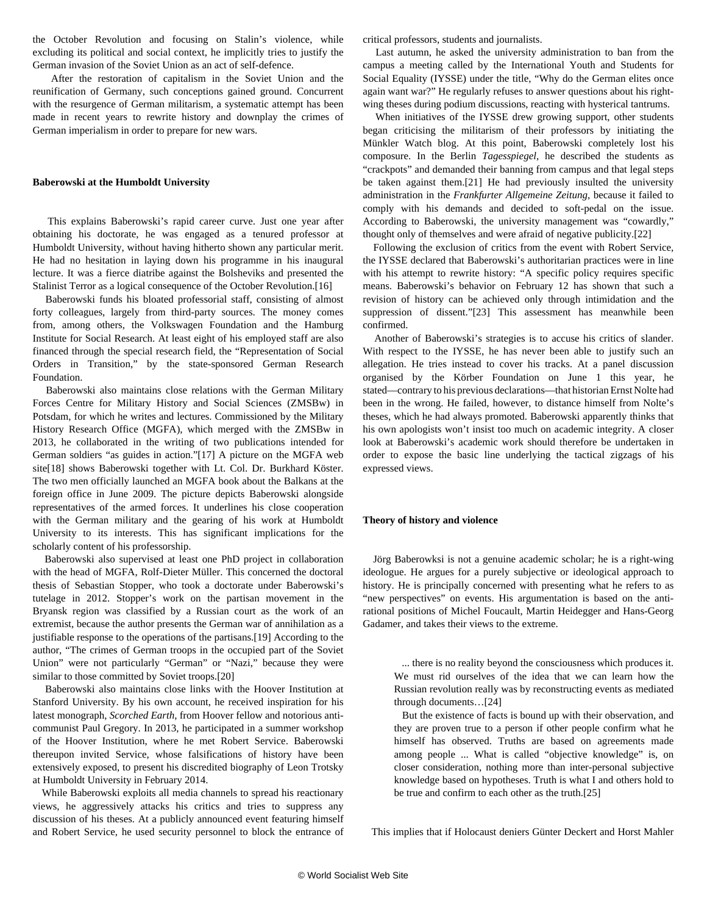the October Revolution and focusing on Stalin's violence, while excluding its political and social context, he implicitly tries to justify the German invasion of the Soviet Union as an act of self-defence.

 After the restoration of capitalism in the Soviet Union and the reunification of Germany, such conceptions gained ground. Concurrent with the resurgence of German militarism, a systematic attempt has been made in recent years to rewrite history and downplay the crimes of German imperialism in order to prepare for new wars.

#### **Baberowski at the Humboldt University**

 This explains Baberowski's rapid career curve. Just one year after obtaining his doctorate, he was engaged as a tenured professor at Humboldt University, without having hitherto shown any particular merit. He had no hesitation in laying down his programme in his inaugural lecture. It was a fierce diatribe against the Bolsheviks and presented the Stalinist Terror as a logical consequence of the October Revolution.[16]

 Baberowski funds his bloated professorial staff, consisting of almost forty colleagues, largely from third-party sources. The money comes from, among others, the Volkswagen Foundation and the Hamburg Institute for Social Research. At least eight of his employed staff are also financed through the special research field, the "Representation of Social Orders in Transition," by the state-sponsored German Research Foundation.

 Baberowski also maintains close relations with the German Military Forces Centre for Military History and Social Sciences (ZMSBw) in Potsdam, for which he writes and lectures. Commissioned by the Military History Research Office (MGFA), which merged with the ZMSBw in 2013, he collaborated in the writing of two publications intended for German soldiers "as guides in action."[17] A picture on the MGFA web site[18] shows Baberowski together with Lt. Col. Dr. Burkhard Köster. The two men officially launched an MGFA book about the Balkans at the foreign office in June 2009. The picture depicts Baberowski alongside representatives of the armed forces. It underlines his close cooperation with the German military and the gearing of his work at Humboldt University to its interests. This has significant implications for the scholarly content of his professorship.

 Baberowski also supervised at least one PhD project in collaboration with the head of MGFA, Rolf-Dieter Müller. This concerned the doctoral thesis of Sebastian Stopper, who took a doctorate under Baberowski's tutelage in 2012. Stopper's work on the partisan movement in the Bryansk region was classified by a Russian court as the work of an extremist, because the author presents the German war of annihilation as a justifiable response to the operations of the partisans.[19] According to the author, "The crimes of German troops in the occupied part of the Soviet Union" were not particularly "German" or "Nazi," because they were similar to those committed by Soviet troops.[20]

 Baberowski also maintains close links with the Hoover Institution at Stanford University. By his own account, he received inspiration for his latest monograph, *Scorched Earth*, from Hoover fellow and notorious anticommunist Paul Gregory. In 2013, he participated in a summer workshop of the Hoover Institution, where he met Robert Service. Baberowski thereupon invited Service, whose falsifications of history have been extensively exposed, to present his discredited biography of Leon Trotsky at Humboldt University in February 2014.

 While Baberowski exploits all media channels to spread his reactionary views, he aggressively attacks his critics and tries to suppress any discussion of his theses. At a publicly announced event featuring himself and Robert Service, he used security personnel to block the entrance of critical professors, students and journalists.

 Last autumn, he asked the university administration to ban from the campus a meeting called by the International Youth and Students for Social Equality (IYSSE) under the title, "Why do the German elites once again want war?" He regularly refuses to answer questions about his rightwing theses during podium discussions, reacting with hysterical tantrums.

 When initiatives of the IYSSE drew growing support, other students began criticising the militarism of their professors by initiating the Münkler Watch blog. At this point, Baberowski completely lost his composure. In the Berlin *Tagesspiegel*, he described the students as "crackpots" and demanded their banning from campus and that legal steps be taken against them.[21] He had previously insulted the university administration in the *Frankfurter Allgemeine Zeitung*, because it failed to comply with his demands and decided to soft-pedal on the issue. According to Baberowski, the university management was "cowardly," thought only of themselves and were afraid of negative publicity.[22]

 Following the exclusion of critics from the event with Robert Service, the IYSSE declared that Baberowski's authoritarian practices were in line with his attempt to rewrite history: "A specific policy requires specific means. Baberowski's behavior on February 12 has shown that such a revision of history can be achieved only through intimidation and the suppression of dissent."[23] This assessment has meanwhile been confirmed.

 Another of Baberowski's strategies is to accuse his critics of slander. With respect to the IYSSE, he has never been able to justify such an allegation. He tries instead to cover his tracks. At a panel discussion organised by the Körber Foundation on June 1 this year, he stated—contrary to his previous declarations—that historian Ernst Nolte had been in the wrong. He failed, however, to distance himself from Nolte's theses, which he had always promoted. Baberowski apparently thinks that his own apologists won't insist too much on academic integrity. A closer look at Baberowski's academic work should therefore be undertaken in order to expose the basic line underlying the tactical zigzags of his expressed views.

#### **Theory of history and violence**

 Jörg Baberowksi is not a genuine academic scholar; he is a right-wing ideologue. He argues for a purely subjective or ideological approach to history. He is principally concerned with presenting what he refers to as "new perspectives" on events. His argumentation is based on the antirational positions of Michel Foucault, Martin Heidegger and Hans-Georg Gadamer, and takes their views to the extreme.

 ... there is no reality beyond the consciousness which produces it. We must rid ourselves of the idea that we can learn how the Russian revolution really was by reconstructing events as mediated through documents…[24]

 But the existence of facts is bound up with their observation, and they are proven true to a person if other people confirm what he himself has observed. Truths are based on agreements made among people ... What is called "objective knowledge" is, on closer consideration, nothing more than inter-personal subjective knowledge based on hypotheses. Truth is what I and others hold to be true and confirm to each other as the truth.[25]

This implies that if Holocaust deniers Günter Deckert and Horst Mahler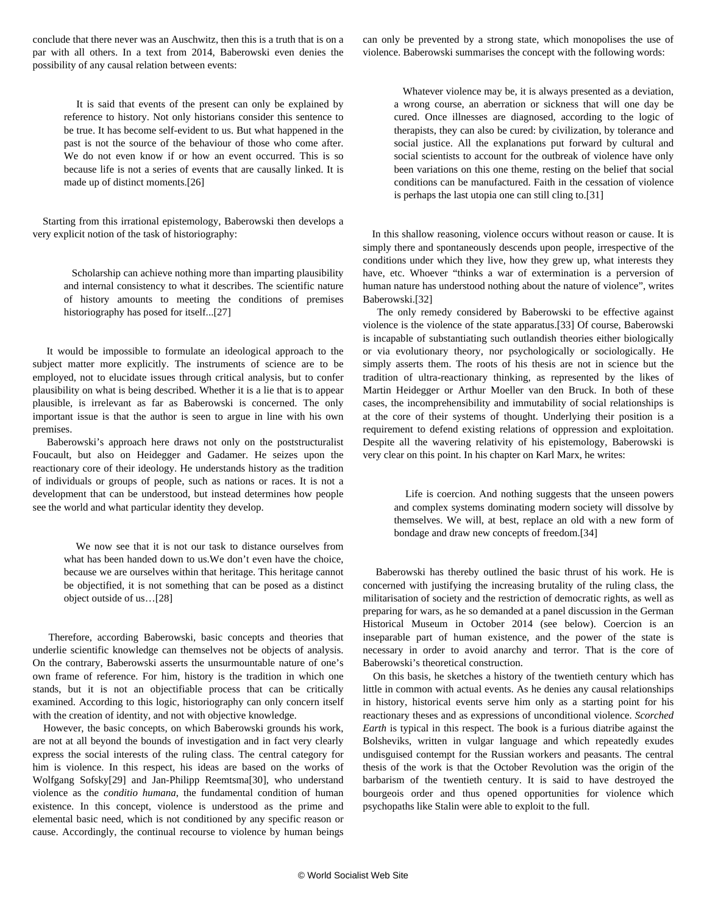conclude that there never was an Auschwitz, then this is a truth that is on a par with all others. In a text from 2014, Baberowski even denies the possibility of any causal relation between events:

 It is said that events of the present can only be explained by reference to history. Not only historians consider this sentence to be true. It has become self-evident to us. But what happened in the past is not the source of the behaviour of those who come after. We do not even know if or how an event occurred. This is so because life is not a series of events that are causally linked. It is made up of distinct moments.[26]

 Starting from this irrational epistemology, Baberowski then develops a very explicit notion of the task of historiography:

 Scholarship can achieve nothing more than imparting plausibility and internal consistency to what it describes. The scientific nature of history amounts to meeting the conditions of premises historiography has posed for itself...[27]

 It would be impossible to formulate an ideological approach to the subject matter more explicitly. The instruments of science are to be employed, not to elucidate issues through critical analysis, but to confer plausibility on what is being described. Whether it is a lie that is to appear plausible, is irrelevant as far as Baberowski is concerned. The only important issue is that the author is seen to argue in line with his own premises.

 Baberowski's approach here draws not only on the poststructuralist Foucault, but also on Heidegger and Gadamer. He seizes upon the reactionary core of their ideology. He understands history as the tradition of individuals or groups of people, such as nations or races. It is not a development that can be understood, but instead determines how people see the world and what particular identity they develop.

 We now see that it is not our task to distance ourselves from what has been handed down to us.We don't even have the choice, because we are ourselves within that heritage. This heritage cannot be objectified, it is not something that can be posed as a distinct object outside of us…[28]

 Therefore, according Baberowski, basic concepts and theories that underlie scientific knowledge can themselves not be objects of analysis. On the contrary, Baberowski asserts the unsurmountable nature of one's own frame of reference. For him, history is the tradition in which one stands, but it is not an objectifiable process that can be critically examined. According to this logic, historiography can only concern itself with the creation of identity, and not with objective knowledge.

 However, the basic concepts, on which Baberowski grounds his work, are not at all beyond the bounds of investigation and in fact very clearly express the social interests of the ruling class. The central category for him is violence. In this respect, his ideas are based on the works of Wolfgang Sofsky[29] and Jan-Philipp Reemtsma[30], who understand violence as the *conditio humana*, the fundamental condition of human existence. In this concept, violence is understood as the prime and elemental basic need, which is not conditioned by any specific reason or cause. Accordingly, the continual recourse to violence by human beings

can only be prevented by a strong state, which monopolises the use of violence. Baberowski summarises the concept with the following words:

 Whatever violence may be, it is always presented as a deviation, a wrong course, an aberration or sickness that will one day be cured. Once illnesses are diagnosed, according to the logic of therapists, they can also be cured: by civilization, by tolerance and social justice. All the explanations put forward by cultural and social scientists to account for the outbreak of violence have only been variations on this one theme, resting on the belief that social conditions can be manufactured. Faith in the cessation of violence is perhaps the last utopia one can still cling to.[31]

 In this shallow reasoning, violence occurs without reason or cause. It is simply there and spontaneously descends upon people, irrespective of the conditions under which they live, how they grew up, what interests they have, etc. Whoever "thinks a war of extermination is a perversion of human nature has understood nothing about the nature of violence", writes Baberowski.[32]

 The only remedy considered by Baberowski to be effective against violence is the violence of the state apparatus.[33] Of course, Baberowski is incapable of substantiating such outlandish theories either biologically or via evolutionary theory, nor psychologically or sociologically. He simply asserts them. The roots of his thesis are not in science but the tradition of ultra-reactionary thinking, as represented by the likes of Martin Heidegger or Arthur Moeller van den Bruck. In both of these cases, the incomprehensibility and immutability of social relationships is at the core of their systems of thought. Underlying their position is a requirement to defend existing relations of oppression and exploitation. Despite all the wavering relativity of his epistemology, Baberowski is very clear on this point. In his chapter on Karl Marx, he writes:

 Life is coercion. And nothing suggests that the unseen powers and complex systems dominating modern society will dissolve by themselves. We will, at best, replace an old with a new form of bondage and draw new concepts of freedom.[34]

 Baberowski has thereby outlined the basic thrust of his work. He is concerned with justifying the increasing brutality of the ruling class, the militarisation of society and the restriction of democratic rights, as well as preparing for wars, as he so demanded at a panel discussion in the German Historical Museum in October 2014 (see below). Coercion is an inseparable part of human existence, and the power of the state is necessary in order to avoid anarchy and terror. That is the core of Baberowski's theoretical construction.

 On this basis, he sketches a history of the twentieth century which has little in common with actual events. As he denies any causal relationships in history, historical events serve him only as a starting point for his reactionary theses and as expressions of unconditional violence. *Scorched Earth* is typical in this respect. The book is a furious diatribe against the Bolsheviks, written in vulgar language and which repeatedly exudes undisguised contempt for the Russian workers and peasants. The central thesis of the work is that the October Revolution was the origin of the barbarism of the twentieth century. It is said to have destroyed the bourgeois order and thus opened opportunities for violence which psychopaths like Stalin were able to exploit to the full.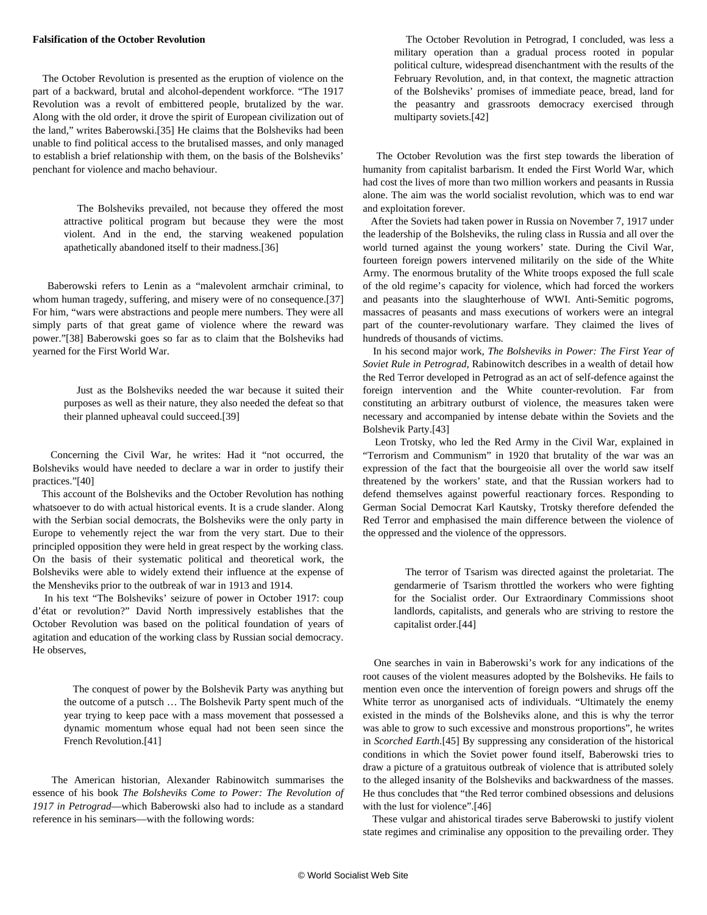### **Falsification of the October Revolution**

 The October Revolution is presented as the eruption of violence on the part of a backward, brutal and alcohol-dependent workforce. "The 1917 Revolution was a revolt of embittered people, brutalized by the war. Along with the old order, it drove the spirit of European civilization out of the land," writes Baberowski.[35] He claims that the Bolsheviks had been unable to find political access to the brutalised masses, and only managed to establish a brief relationship with them, on the basis of the Bolsheviks' penchant for violence and macho behaviour.

 The Bolsheviks prevailed, not because they offered the most attractive political program but because they were the most violent. And in the end, the starving weakened population apathetically abandoned itself to their madness.[36]

 Baberowski refers to Lenin as a "malevolent armchair criminal, to whom human tragedy, suffering, and misery were of no consequence.[37] For him, "wars were abstractions and people mere numbers. They were all simply parts of that great game of violence where the reward was power."[38] Baberowski goes so far as to claim that the Bolsheviks had yearned for the First World War.

> Just as the Bolsheviks needed the war because it suited their purposes as well as their nature, they also needed the defeat so that their planned upheaval could succeed.[39]

 Concerning the Civil War, he writes: Had it "not occurred, the Bolsheviks would have needed to declare a war in order to justify their practices."[40]

 This account of the Bolsheviks and the October Revolution has nothing whatsoever to do with actual historical events. It is a crude slander. Along with the Serbian social democrats, the Bolsheviks were the only party in Europe to vehemently reject the war from the very start. Due to their principled opposition they were held in great respect by the working class. On the basis of their systematic political and theoretical work, the Bolsheviks were able to widely extend their influence at the expense of the Mensheviks prior to the outbreak of war in 1913 and 1914.

 In his text "The Bolsheviks' seizure of power in October 1917: coup d'état or revolution?" David North impressively establishes that the October Revolution was based on the political foundation of years of agitation and education of the working class by Russian social democracy. He observes,

 The conquest of power by the Bolshevik Party was anything but the outcome of a putsch … The Bolshevik Party spent much of the year trying to keep pace with a mass movement that possessed a dynamic momentum whose equal had not been seen since the French Revolution.[41]

 The American historian, Alexander Rabinowitch summarises the essence of his book *The Bolsheviks Come to Power: The Revolution of 1917 in Petrograd*—which Baberowski also had to include as a standard reference in his seminars—with the following words:

 The October Revolution in Petrograd, I concluded, was less a military operation than a gradual process rooted in popular political culture, widespread disenchantment with the results of the February Revolution, and, in that context, the magnetic attraction of the Bolsheviks' promises of immediate peace, bread, land for the peasantry and grassroots democracy exercised through multiparty soviets.[42]

 The October Revolution was the first step towards the liberation of humanity from capitalist barbarism. It ended the First World War, which had cost the lives of more than two million workers and peasants in Russia alone. The aim was the world socialist revolution, which was to end war and exploitation forever.

 After the Soviets had taken power in Russia on November 7, 1917 under the leadership of the Bolsheviks, the ruling class in Russia and all over the world turned against the young workers' state. During the Civil War, fourteen foreign powers intervened militarily on the side of the White Army. The enormous brutality of the White troops exposed the full scale of the old regime's capacity for violence, which had forced the workers and peasants into the slaughterhouse of WWI. Anti-Semitic pogroms, massacres of peasants and mass executions of workers were an integral part of the counter-revolutionary warfare. They claimed the lives of hundreds of thousands of victims.

 In his second major work, *The Bolsheviks in Power: The First Year of Soviet Rule in Petrograd*, Rabinowitch describes in a wealth of detail how the Red Terror developed in Petrograd as an act of self-defence against the foreign intervention and the White counter-revolution. Far from constituting an arbitrary outburst of violence, the measures taken were necessary and accompanied by intense debate within the Soviets and the Bolshevik Party.[43]

 Leon Trotsky, who led the Red Army in the Civil War, explained in "Terrorism and Communism" in 1920 that brutality of the war was an expression of the fact that the bourgeoisie all over the world saw itself threatened by the workers' state, and that the Russian workers had to defend themselves against powerful reactionary forces. Responding to German Social Democrat Karl Kautsky, Trotsky therefore defended the Red Terror and emphasised the main difference between the violence of the oppressed and the violence of the oppressors.

 The terror of Tsarism was directed against the proletariat. The gendarmerie of Tsarism throttled the workers who were fighting for the Socialist order. Our Extraordinary Commissions shoot landlords, capitalists, and generals who are striving to restore the capitalist order.[44]

 One searches in vain in Baberowski's work for any indications of the root causes of the violent measures adopted by the Bolsheviks. He fails to mention even once the intervention of foreign powers and shrugs off the White terror as unorganised acts of individuals. "Ultimately the enemy existed in the minds of the Bolsheviks alone, and this is why the terror was able to grow to such excessive and monstrous proportions", he writes in *Scorched Earth*.[45] By suppressing any consideration of the historical conditions in which the Soviet power found itself, Baberowski tries to draw a picture of a gratuitous outbreak of violence that is attributed solely to the alleged insanity of the Bolsheviks and backwardness of the masses. He thus concludes that "the Red terror combined obsessions and delusions with the lust for violence".<sup>[46]</sup>

 These vulgar and ahistorical tirades serve Baberowski to justify violent state regimes and criminalise any opposition to the prevailing order. They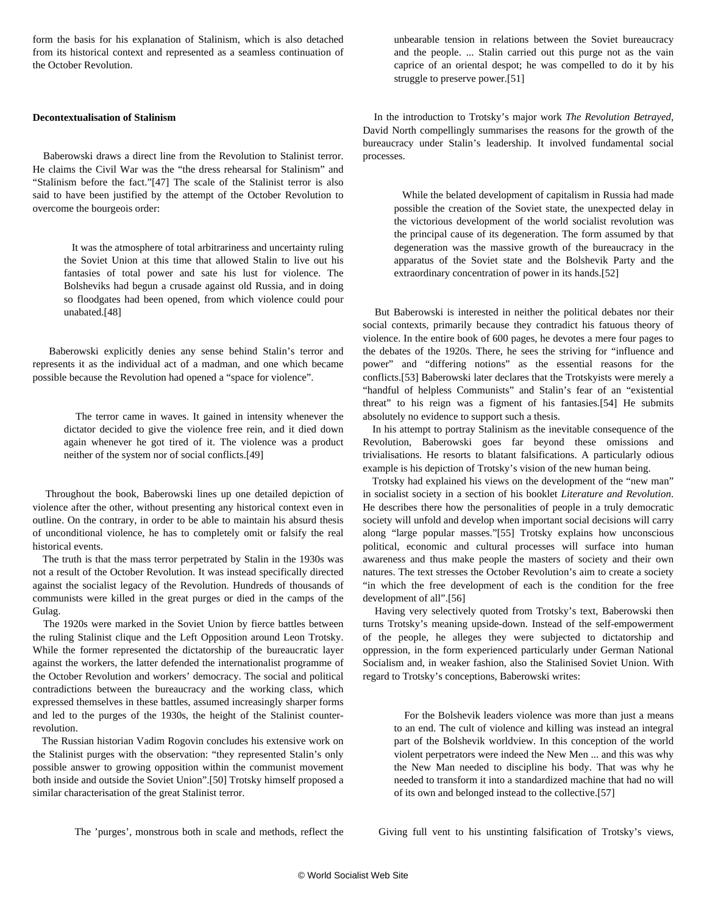form the basis for his explanation of Stalinism, which is also detached from its historical context and represented as a seamless continuation of the October Revolution.

#### **Decontextualisation of Stalinism**

 Baberowski draws a direct line from the Revolution to Stalinist terror. He claims the Civil War was the "the dress rehearsal for Stalinism" and "Stalinism before the fact."[47] The scale of the Stalinist terror is also said to have been justified by the attempt of the October Revolution to overcome the bourgeois order:

 It was the atmosphere of total arbitrariness and uncertainty ruling the Soviet Union at this time that allowed Stalin to live out his fantasies of total power and sate his lust for violence. The Bolsheviks had begun a crusade against old Russia, and in doing so floodgates had been opened, from which violence could pour unabated.[48]

 Baberowski explicitly denies any sense behind Stalin's terror and represents it as the individual act of a madman, and one which became possible because the Revolution had opened a "space for violence".

> The terror came in waves. It gained in intensity whenever the dictator decided to give the violence free rein, and it died down again whenever he got tired of it. The violence was a product neither of the system nor of social conflicts.[49]

 Throughout the book, Baberowski lines up one detailed depiction of violence after the other, without presenting any historical context even in outline. On the contrary, in order to be able to maintain his absurd thesis of unconditional violence, he has to completely omit or falsify the real historical events.

 The truth is that the mass terror perpetrated by Stalin in the 1930s was not a result of the October Revolution. It was instead specifically directed against the socialist legacy of the Revolution. Hundreds of thousands of communists were killed in the great purges or died in the camps of the Gulag.

 The 1920s were marked in the Soviet Union by fierce battles between the ruling Stalinist clique and the Left Opposition around Leon Trotsky. While the former represented the dictatorship of the bureaucratic layer against the workers, the latter defended the internationalist programme of the October Revolution and workers' democracy. The social and political contradictions between the bureaucracy and the working class, which expressed themselves in these battles, assumed increasingly sharper forms and led to the purges of the 1930s, the height of the Stalinist counterrevolution.

 The Russian historian Vadim Rogovin concludes his extensive work on the Stalinist purges with the observation: "they represented Stalin's only possible answer to growing opposition within the communist movement both inside and outside the Soviet Union".[50] Trotsky himself proposed a similar characterisation of the great Stalinist terror.

The 'purges', monstrous both in scale and methods, reflect the

unbearable tension in relations between the Soviet bureaucracy and the people. ... Stalin carried out this purge not as the vain caprice of an oriental despot; he was compelled to do it by his struggle to preserve power.[51]

 In the introduction to Trotsky's major work *The Revolution Betrayed*, David North compellingly summarises the reasons for the growth of the bureaucracy under Stalin's leadership. It involved fundamental social processes.

 While the belated development of capitalism in Russia had made possible the creation of the Soviet state, the unexpected delay in the victorious development of the world socialist revolution was the principal cause of its degeneration. The form assumed by that degeneration was the massive growth of the bureaucracy in the apparatus of the Soviet state and the Bolshevik Party and the extraordinary concentration of power in its hands.[52]

 But Baberowski is interested in neither the political debates nor their social contexts, primarily because they contradict his fatuous theory of violence. In the entire book of 600 pages, he devotes a mere four pages to the debates of the 1920s. There, he sees the striving for "influence and power" and "differing notions" as the essential reasons for the conflicts.[53] Baberowski later declares that the Trotskyists were merely a "handful of helpless Communists" and Stalin's fear of an "existential threat" to his reign was a figment of his fantasies.[54] He submits absolutely no evidence to support such a thesis.

 In his attempt to portray Stalinism as the inevitable consequence of the Revolution, Baberowski goes far beyond these omissions and trivialisations. He resorts to blatant falsifications. A particularly odious example is his depiction of Trotsky's vision of the new human being.

 Trotsky had explained his views on the development of the "new man" in socialist society in a section of his booklet *Literature and Revolution*. He describes there how the personalities of people in a truly democratic society will unfold and develop when important social decisions will carry along "large popular masses."[55] Trotsky explains how unconscious political, economic and cultural processes will surface into human awareness and thus make people the masters of society and their own natures. The text stresses the October Revolution's aim to create a society "in which the free development of each is the condition for the free development of all".[56]

 Having very selectively quoted from Trotsky's text, Baberowski then turns Trotsky's meaning upside-down. Instead of the self-empowerment of the people, he alleges they were subjected to dictatorship and oppression, in the form experienced particularly under German National Socialism and, in weaker fashion, also the Stalinised Soviet Union. With regard to Trotsky's conceptions, Baberowski writes:

 For the Bolshevik leaders violence was more than just a means to an end. The cult of violence and killing was instead an integral part of the Bolshevik worldview. In this conception of the world violent perpetrators were indeed the New Men ... and this was why the New Man needed to discipline his body. That was why he needed to transform it into a standardized machine that had no will of its own and belonged instead to the collective.[57]

Giving full vent to his unstinting falsification of Trotsky's views,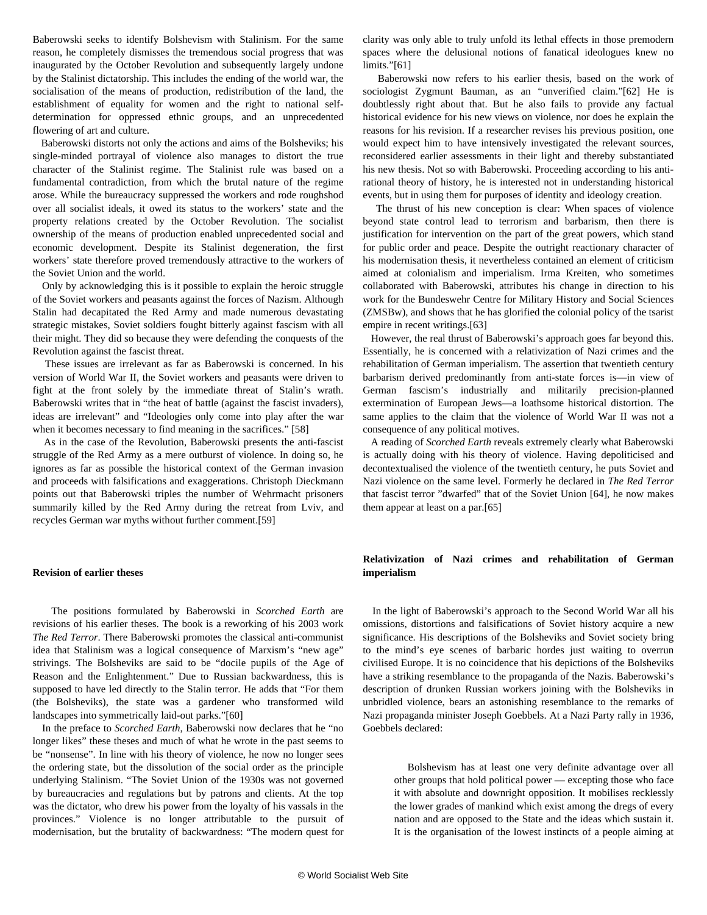Baberowski seeks to identify Bolshevism with Stalinism. For the same reason, he completely dismisses the tremendous social progress that was inaugurated by the October Revolution and subsequently largely undone by the Stalinist dictatorship. This includes the ending of the world war, the socialisation of the means of production, redistribution of the land, the establishment of equality for women and the right to national selfdetermination for oppressed ethnic groups, and an unprecedented flowering of art and culture.

 Baberowski distorts not only the actions and aims of the Bolsheviks; his single-minded portrayal of violence also manages to distort the true character of the Stalinist regime. The Stalinist rule was based on a fundamental contradiction, from which the brutal nature of the regime arose. While the bureaucracy suppressed the workers and rode roughshod over all socialist ideals, it owed its status to the workers' state and the property relations created by the October Revolution. The socialist ownership of the means of production enabled unprecedented social and economic development. Despite its Stalinist degeneration, the first workers' state therefore proved tremendously attractive to the workers of the Soviet Union and the world.

 Only by acknowledging this is it possible to explain the heroic struggle of the Soviet workers and peasants against the forces of Nazism. Although Stalin had decapitated the Red Army and made numerous devastating strategic mistakes, Soviet soldiers fought bitterly against fascism with all their might. They did so because they were defending the conquests of the Revolution against the fascist threat.

 These issues are irrelevant as far as Baberowski is concerned. In his version of World War II, the Soviet workers and peasants were driven to fight at the front solely by the immediate threat of Stalin's wrath. Baberowski writes that in "the heat of battle (against the fascist invaders), ideas are irrelevant" and "Ideologies only come into play after the war when it becomes necessary to find meaning in the sacrifices." [58]

 As in the case of the Revolution, Baberowski presents the anti-fascist struggle of the Red Army as a mere outburst of violence. In doing so, he ignores as far as possible the historical context of the German invasion and proceeds with falsifications and exaggerations. Christoph Dieckmann points out that Baberowski triples the number of Wehrmacht prisoners summarily killed by the Red Army during the retreat from Lviv, and recycles German war myths without further comment.[59]

#### **Revision of earlier theses**

 The positions formulated by Baberowski in *Scorched Earth* are revisions of his earlier theses. The book is a reworking of his 2003 work *The Red Terror*. There Baberowski promotes the classical anti-communist idea that Stalinism was a logical consequence of Marxism's "new age" strivings. The Bolsheviks are said to be "docile pupils of the Age of Reason and the Enlightenment." Due to Russian backwardness, this is supposed to have led directly to the Stalin terror. He adds that "For them (the Bolsheviks), the state was a gardener who transformed wild landscapes into symmetrically laid-out parks."[60]

 In the preface to *Scorched Earth*, Baberowski now declares that he "no longer likes" these theses and much of what he wrote in the past seems to be "nonsense". In line with his theory of violence, he now no longer sees the ordering state, but the dissolution of the social order as the principle underlying Stalinism. "The Soviet Union of the 1930s was not governed by bureaucracies and regulations but by patrons and clients. At the top was the dictator, who drew his power from the loyalty of his vassals in the provinces." Violence is no longer attributable to the pursuit of modernisation, but the brutality of backwardness: "The modern quest for clarity was only able to truly unfold its lethal effects in those premodern spaces where the delusional notions of fanatical ideologues knew no limits."[61]

 Baberowski now refers to his earlier thesis, based on the work of sociologist Zygmunt Bauman, as an "unverified claim."[62] He is doubtlessly right about that. But he also fails to provide any factual historical evidence for his new views on violence, nor does he explain the reasons for his revision. If a researcher revises his previous position, one would expect him to have intensively investigated the relevant sources, reconsidered earlier assessments in their light and thereby substantiated his new thesis. Not so with Baberowski. Proceeding according to his antirational theory of history, he is interested not in understanding historical events, but in using them for purposes of identity and ideology creation.

 The thrust of his new conception is clear: When spaces of violence beyond state control lead to terrorism and barbarism, then there is justification for intervention on the part of the great powers, which stand for public order and peace. Despite the outright reactionary character of his modernisation thesis, it nevertheless contained an element of criticism aimed at colonialism and imperialism. Irma Kreiten, who sometimes collaborated with Baberowski, attributes his change in direction to his work for the Bundeswehr Centre for Military History and Social Sciences (ZMSBw), and shows that he has glorified the colonial policy of the tsarist empire in recent writings.[63]

 However, the real thrust of Baberowski's approach goes far beyond this. Essentially, he is concerned with a relativization of Nazi crimes and the rehabilitation of German imperialism. The assertion that twentieth century barbarism derived predominantly from anti-state forces is—in view of German fascism's industrially and militarily precision-planned extermination of European Jews—a loathsome historical distortion. The same applies to the claim that the violence of World War II was not a consequence of any political motives.

 A reading of *Scorched Earth* reveals extremely clearly what Baberowski is actually doing with his theory of violence. Having depoliticised and decontextualised the violence of the twentieth century, he puts Soviet and Nazi violence on the same level. Formerly he declared in *The Red Terror* that fascist terror "dwarfed" that of the Soviet Union [64], he now makes them appear at least on a par.[65]

# **Relativization of Nazi crimes and rehabilitation of German imperialism**

 In the light of Baberowski's approach to the Second World War all his omissions, distortions and falsifications of Soviet history acquire a new significance. His descriptions of the Bolsheviks and Soviet society bring to the mind's eye scenes of barbaric hordes just waiting to overrun civilised Europe. It is no coincidence that his depictions of the Bolsheviks have a striking resemblance to the propaganda of the Nazis. Baberowski's description of drunken Russian workers joining with the Bolsheviks in unbridled violence, bears an astonishing resemblance to the remarks of Nazi propaganda minister Joseph Goebbels. At a Nazi Party rally in 1936, Goebbels declared:

 Bolshevism has at least one very definite advantage over all other groups that hold political power — excepting those who face it with absolute and downright opposition. It mobilises recklessly the lower grades of mankind which exist among the dregs of every nation and are opposed to the State and the ideas which sustain it. It is the organisation of the lowest instincts of a people aiming at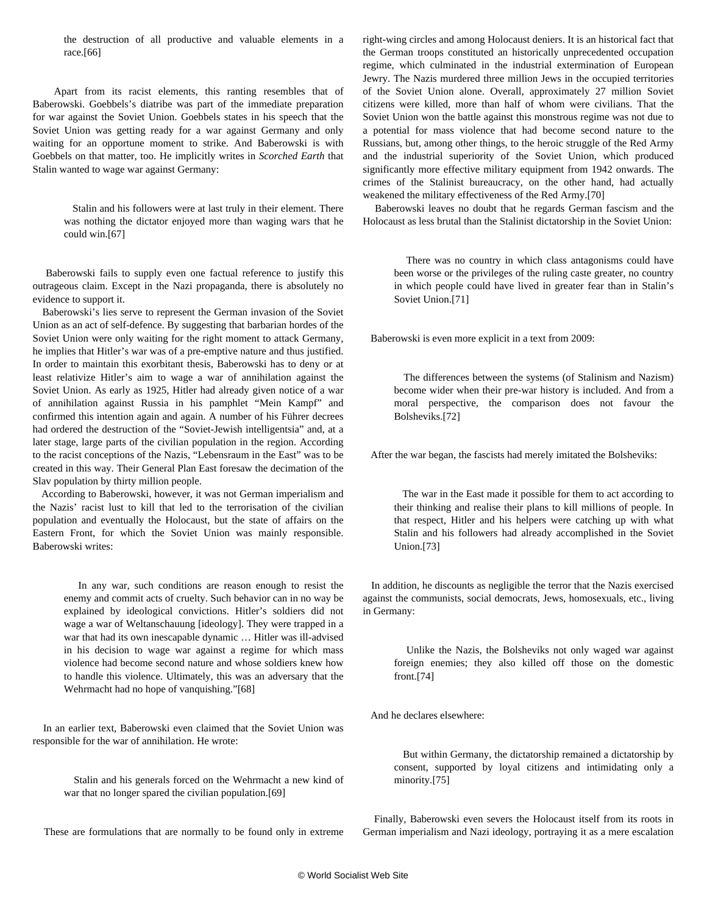the destruction of all productive and valuable elements in a race.[66]

 Apart from its racist elements, this ranting resembles that of Baberowski. Goebbels's diatribe was part of the immediate preparation for war against the Soviet Union. Goebbels states in his speech that the Soviet Union was getting ready for a war against Germany and only waiting for an opportune moment to strike. And Baberowski is with Goebbels on that matter, too. He implicitly writes in *Scorched Earth* that Stalin wanted to wage war against Germany:

 Stalin and his followers were at last truly in their element. There was nothing the dictator enjoyed more than waging wars that he could win.[67]

 Baberowski fails to supply even one factual reference to justify this outrageous claim. Except in the Nazi propaganda, there is absolutely no evidence to support it.

 Baberowski's lies serve to represent the German invasion of the Soviet Union as an act of self-defence. By suggesting that barbarian hordes of the Soviet Union were only waiting for the right moment to attack Germany, he implies that Hitler's war was of a pre-emptive nature and thus justified. In order to maintain this exorbitant thesis, Baberowski has to deny or at least relativize Hitler's aim to wage a war of annihilation against the Soviet Union. As early as 1925, Hitler had already given notice of a war of annihilation against Russia in his pamphlet "Mein Kampf" and confirmed this intention again and again. A number of his Führer decrees had ordered the destruction of the "Soviet-Jewish intelligentsia" and, at a later stage, large parts of the civilian population in the region. According to the racist conceptions of the Nazis, "Lebensraum in the East" was to be created in this way. Their General Plan East foresaw the decimation of the Slav population by thirty million people.

 According to Baberowski, however, it was not German imperialism and the Nazis' racist lust to kill that led to the terrorisation of the civilian population and eventually the Holocaust, but the state of affairs on the Eastern Front, for which the Soviet Union was mainly responsible. Baberowski writes:

 In any war, such conditions are reason enough to resist the enemy and commit acts of cruelty. Such behavior can in no way be explained by ideological convictions. Hitler's soldiers did not wage a war of Weltanschauung [ideology]. They were trapped in a war that had its own inescapable dynamic … Hitler was ill-advised in his decision to wage war against a regime for which mass violence had become second nature and whose soldiers knew how to handle this violence. Ultimately, this was an adversary that the Wehrmacht had no hope of vanquishing."[68]

 In an earlier text, Baberowski even claimed that the Soviet Union was responsible for the war of annihilation. He wrote:

> Stalin and his generals forced on the Wehrmacht a new kind of war that no longer spared the civilian population.[69]

These are formulations that are normally to be found only in extreme

right-wing circles and among Holocaust deniers. It is an historical fact that the German troops constituted an historically unprecedented occupation regime, which culminated in the industrial extermination of European Jewry. The Nazis murdered three million Jews in the occupied territories of the Soviet Union alone. Overall, approximately 27 million Soviet citizens were killed, more than half of whom were civilians. That the Soviet Union won the battle against this monstrous regime was not due to a potential for mass violence that had become second nature to the Russians, but, among other things, to the heroic struggle of the Red Army and the industrial superiority of the Soviet Union, which produced significantly more effective military equipment from 1942 onwards. The crimes of the Stalinist bureaucracy, on the other hand, had actually weakened the military effectiveness of the Red Army.[70]

 Baberowski leaves no doubt that he regards German fascism and the Holocaust as less brutal than the Stalinist dictatorship in the Soviet Union:

 There was no country in which class antagonisms could have been worse or the privileges of the ruling caste greater, no country in which people could have lived in greater fear than in Stalin's Soviet Union.[71]

Baberowski is even more explicit in a text from 2009:

 The differences between the systems (of Stalinism and Nazism) become wider when their pre-war history is included. And from a moral perspective, the comparison does not favour the Bolsheviks.[72]

After the war began, the fascists had merely imitated the Bolsheviks:

 The war in the East made it possible for them to act according to their thinking and realise their plans to kill millions of people. In that respect, Hitler and his helpers were catching up with what Stalin and his followers had already accomplished in the Soviet Union.[73]

 In addition, he discounts as negligible the terror that the Nazis exercised against the communists, social democrats, Jews, homosexuals, etc., living in Germany:

 Unlike the Nazis, the Bolsheviks not only waged war against foreign enemies; they also killed off those on the domestic front.[74]

And he declares elsewhere:

 But within Germany, the dictatorship remained a dictatorship by consent, supported by loyal citizens and intimidating only a minority.[75]

 Finally, Baberowski even severs the Holocaust itself from its roots in German imperialism and Nazi ideology, portraying it as a mere escalation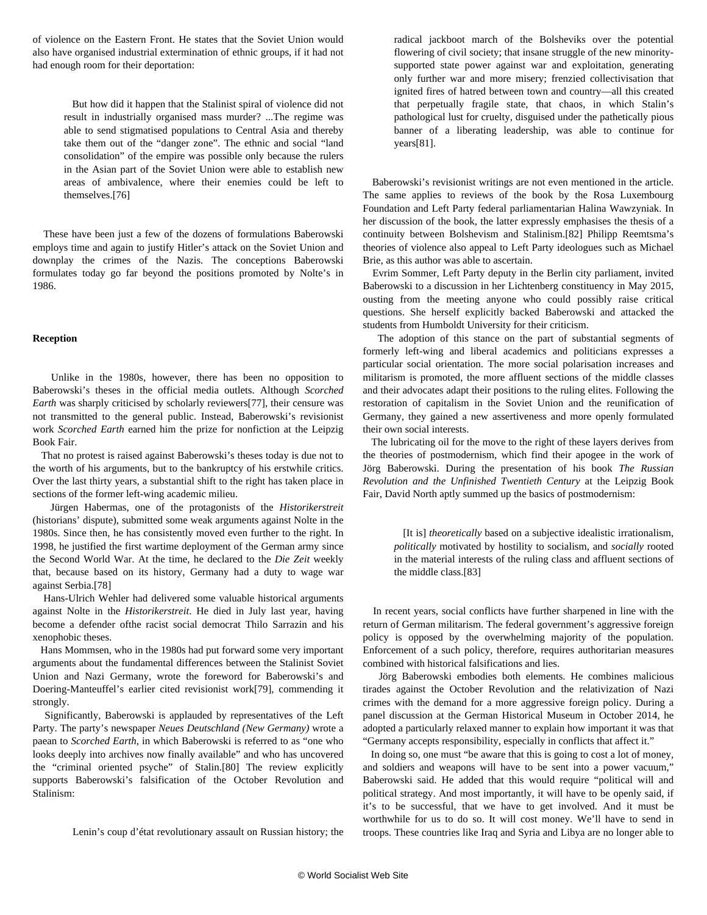of violence on the Eastern Front. He states that the Soviet Union would also have organised industrial extermination of ethnic groups, if it had not had enough room for their deportation:

 But how did it happen that the Stalinist spiral of violence did not result in industrially organised mass murder? ...The regime was able to send stigmatised populations to Central Asia and thereby take them out of the "danger zone". The ethnic and social "land consolidation" of the empire was possible only because the rulers in the Asian part of the Soviet Union were able to establish new areas of ambivalence, where their enemies could be left to themselves.[76]

 These have been just a few of the dozens of formulations Baberowski employs time and again to justify Hitler's attack on the Soviet Union and downplay the crimes of the Nazis. The conceptions Baberowski formulates today go far beyond the positions promoted by Nolte's in 1986.

#### **Reception**

 Unlike in the 1980s, however, there has been no opposition to Baberowski's theses in the official media outlets. Although *Scorched Earth* was sharply criticised by scholarly reviewers[77], their censure was not transmitted to the general public. Instead, Baberowski's revisionist work *Scorched Earth* earned him the prize for nonfiction at the Leipzig Book Fair.

 That no protest is raised against Baberowski's theses today is due not to the worth of his arguments, but to the bankruptcy of his erstwhile critics. Over the last thirty years, a substantial shift to the right has taken place in sections of the former left-wing academic milieu.

 Jürgen Habermas, one of the protagonists of the *Historikerstreit* (historians' dispute), submitted some weak arguments against Nolte in the 1980s. Since then, he has consistently moved even further to the right. In 1998, he justified the first wartime deployment of the German army since the Second World War. At the time, he declared to the *Die Zeit* weekly that, because based on its history, Germany had a duty to wage war against Serbia.[78]

 Hans-Ulrich Wehler had delivered some valuable historical arguments against Nolte in the *Historikerstreit*. He died in July last year, having become a defender ofthe racist social democrat Thilo Sarrazin and his xenophobic theses.

 Hans Mommsen, who in the 1980s had put forward some very important arguments about the fundamental differences between the Stalinist Soviet Union and Nazi Germany, wrote the foreword for Baberowski's and Doering-Manteuffel's earlier cited revisionist work[79], commending it strongly.

 Significantly, Baberowski is applauded by representatives of the Left Party. The party's newspaper *Neues Deutschland (New Germany)* wrote a paean to *Scorched Earth*, in which Baberowski is referred to as "one who looks deeply into archives now finally available" and who has uncovered the "criminal oriented psyche" of Stalin.[80] The review explicitly supports Baberowski's falsification of the October Revolution and Stalinism:

Lenin's coup d'état revolutionary assault on Russian history; the

radical jackboot march of the Bolsheviks over the potential flowering of civil society; that insane struggle of the new minoritysupported state power against war and exploitation, generating only further war and more misery; frenzied collectivisation that ignited fires of hatred between town and country—all this created that perpetually fragile state, that chaos, in which Stalin's pathological lust for cruelty, disguised under the pathetically pious banner of a liberating leadership, was able to continue for years[81].

 Baberowski's revisionist writings are not even mentioned in the article. The same applies to reviews of the book by the Rosa Luxembourg Foundation and Left Party federal parliamentarian Halina Wawzyniak. In her discussion of the book, the latter expressly emphasises the thesis of a continuity between Bolshevism and Stalinism.[82] Philipp Reemtsma's theories of violence also appeal to Left Party ideologues such as Michael Brie, as this author was able to ascertain.

 Evrim Sommer, Left Party deputy in the Berlin city parliament, invited Baberowski to a discussion in her Lichtenberg constituency in May 2015, ousting from the meeting anyone who could possibly raise critical questions. She herself explicitly backed Baberowski and attacked the students from Humboldt University for their criticism.

 The adoption of this stance on the part of substantial segments of formerly left-wing and liberal academics and politicians expresses a particular social orientation. The more social polarisation increases and militarism is promoted, the more affluent sections of the middle classes and their advocates adapt their positions to the ruling elites. Following the restoration of capitalism in the Soviet Union and the reunification of Germany, they gained a new assertiveness and more openly formulated their own social interests.

 The lubricating oil for the move to the right of these layers derives from the theories of postmodernism, which find their apogee in the work of Jörg Baberowski. During the presentation of his book *The Russian Revolution and the Unfinished Twentieth Century* at the Leipzig Book Fair, David North aptly summed up the basics of postmodernism:

 [It is] *theoretically* based on a subjective idealistic irrationalism, *politically* motivated by hostility to socialism, and *socially* rooted in the material interests of the ruling class and affluent sections of the middle class.[83]

 In recent years, social conflicts have further sharpened in line with the return of German militarism. The federal government's aggressive foreign policy is opposed by the overwhelming majority of the population. Enforcement of a such policy, therefore, requires authoritarian measures combined with historical falsifications and lies.

 Jörg Baberowski embodies both elements. He combines malicious tirades against the October Revolution and the relativization of Nazi crimes with the demand for a more aggressive foreign policy. During a panel discussion at the German Historical Museum in October 2014, he adopted a particularly relaxed manner to explain how important it was that "Germany accepts responsibility, especially in conflicts that affect it."

 In doing so, one must "be aware that this is going to cost a lot of money, and soldiers and weapons will have to be sent into a power vacuum," Baberowski said. He added that this would require "political will and political strategy. And most importantly, it will have to be openly said, if it's to be successful, that we have to get involved. And it must be worthwhile for us to do so. It will cost money. We'll have to send in troops. These countries like Iraq and Syria and Libya are no longer able to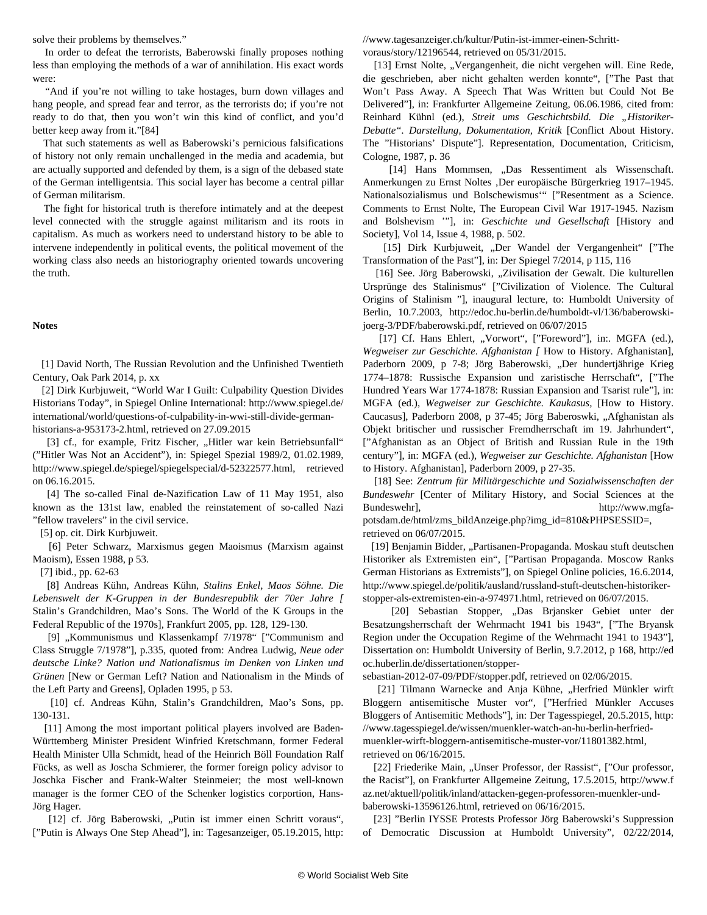solve their problems by themselves."

 In order to defeat the terrorists, Baberowski finally proposes nothing less than employing the methods of a war of annihilation. His exact words were:

 "And if you're not willing to take hostages, burn down villages and hang people, and spread fear and terror, as the terrorists do; if you're not ready to do that, then you won't win this kind of conflict, and you'd better keep away from it."[84]

 That such statements as well as Baberowski's pernicious falsifications of history not only remain unchallenged in the media and academia, but are actually supported and defended by them, is a sign of the debased state of the German intelligentsia. This social layer has become a central pillar of German militarism.

 The fight for historical truth is therefore intimately and at the deepest level connected with the struggle against militarism and its roots in capitalism. As much as workers need to understand history to be able to intervene independently in political events, the political movement of the working class also needs an historiography oriented towards uncovering the truth.

#### **Notes**

 [1] David North, The Russian Revolution and the Unfinished Twentieth Century, Oak Park 2014, p. xx

 [2] Dirk Kurbjuweit, "World War I Guilt: Culpability Question Divides Historians Today", in Spiegel Online International: http://www.spiegel.de/ international/world/questions-of-culpability-in-wwi-still-divide-germanhistorians-a-953173-2.html, retrieved on 27.09.2015

[3] cf., for example, Fritz Fischer, "Hitler war kein Betriebsunfall" ("Hitler Was Not an Accident"), in: Spiegel Spezial 1989/2, 01.02.1989, http://www.spiegel.de/spiegel/spiegelspecial/d-52322577.html, retrieved on 06.16.2015.

 [4] The so-called Final de-Nazification Law of 11 May 1951, also known as the 131st law, enabled the reinstatement of so-called Nazi "fellow travelers" in the civil service.

[5] op. cit. Dirk Kurbjuweit.

 [6] Peter Schwarz, Marxismus gegen Maoismus (Marxism against Maoism), Essen 1988, p 53.

[7] ibid., pp. 62-63

 [8] Andreas Kühn, Andreas Kühn, *Stalins Enkel, Maos Söhne. Die Lebenswelt der K-Gruppen in der Bundesrepublik der 70er Jahre [* Stalin's Grandchildren, Mao's Sons. The World of the K Groups in the Federal Republic of the 1970s], Frankfurt 2005, pp. 128, 129-130.

[9] "Kommunismus und Klassenkampf 7/1978" ["Communism and Class Struggle 7/1978"], p.335, quoted from: Andrea Ludwig, *Neue oder deutsche Linke? Nation und Nationalismus im Denken von Linken und Grünen* [New or German Left? Nation and Nationalism in the Minds of the Left Party and Greens], Opladen 1995, p 53.

 [10] cf. Andreas Kühn, Stalin's Grandchildren, Mao's Sons, pp. 130-131.

 [11] Among the most important political players involved are Baden-Württemberg Minister President Winfried Kretschmann, former Federal Health Minister Ulla Schmidt, head of the Heinrich Böll Foundation Ralf Fücks, as well as Joscha Schmierer, the former foreign policy advisor to Joschka Fischer and Frank-Walter Steinmeier; the most well-known manager is the former CEO of the Schenker logistics corportion, Hans-Jörg Hager.

[12] cf. Jörg Baberowski, "Putin ist immer einen Schritt voraus", ["Putin is Always One Step Ahead"], in: Tagesanzeiger, 05.19.2015, http: //www.tagesanzeiger.ch/kultur/Putin-ist-immer-einen-Schrittvoraus/story/12196544, retrieved on 05/31/2015.

[13] Ernst Nolte, "Vergangenheit, die nicht vergehen will. Eine Rede, die geschrieben, aber nicht gehalten werden konnte", ["The Past that Won't Pass Away. A Speech That Was Written but Could Not Be Delivered"], in: Frankfurter Allgemeine Zeitung, 06.06.1986, cited from: Reinhard Kühnl (ed.), Streit ums Geschichtsbild. Die "Historiker-*Debatte". Darstellung, Dokumentation, Kritik* [Conflict About History. The "Historians' Dispute"]. Representation, Documentation, Criticism, Cologne, 1987, p. 36

[14] Hans Mommsen, "Das Ressentiment als Wissenschaft. Anmerkungen zu Ernst Noltes ,Der europäische Bürgerkrieg 1917–1945. Nationalsozialismus und Bolschewismus'" ["Resentment as a Science. Comments to Ernst Nolte, The European Civil War 1917-1945. Nazism and Bolshevism '"], in: *Geschichte und Gesellschaft* [History and Society], Vol 14, Issue 4, 1988, p. 502.

[15] Dirk Kurbjuweit, "Der Wandel der Vergangenheit" ["The Transformation of the Past"], in: Der Spiegel 7/2014, p 115, 116

[16] See. Jörg Baberowski, "Zivilisation der Gewalt. Die kulturellen Ursprünge des Stalinismus" ["Civilization of Violence. The Cultural Origins of Stalinism "], inaugural lecture, to: Humboldt University of Berlin, 10.7.2003, http://edoc.hu-berlin.de/humboldt-vl/136/baberowskijoerg-3/PDF/baberowski.pdf, retrieved on 06/07/2015

[17] Cf. Hans Ehlert, "Vorwort", ["Foreword"], in:. MGFA (ed.), *Wegweiser zur Geschichte. Afghanistan [* How to History. Afghanistan], Paderborn 2009, p 7-8; Jörg Baberowski, "Der hundertjährige Krieg 1774–1878: Russische Expansion und zaristische Herrschaft", ["The Hundred Years War 1774-1878: Russian Expansion and Tsarist rule"], in: MGFA (ed.), *Wegweiser zur Geschichte. Kaukasus,* [How to History. Caucasus], Paderborn 2008, p 37-45; Jörg Baberoswki, "Afghanistan als Objekt britischer und russischer Fremdherrschaft im 19. Jahrhundert", ["Afghanistan as an Object of British and Russian Rule in the 19th century"], in: MGFA (ed.), *Wegweiser zur Geschichte. Afghanistan* [How to History. Afghanistan], Paderborn 2009, p 27-35.

 [18] See: *Zentrum für Militärgeschichte und Sozialwissenschaften der Bundeswehr* [Center of Military History, and Social Sciences at the Bundeswehr], http://www.mgfa-

potsdam.de/html/zms\_bildAnzeige.php?img\_id=810&PHPSESSID=, retrieved on 06/07/2015.

[19] Benjamin Bidder, "Partisanen-Propaganda. Moskau stuft deutschen Historiker als Extremisten ein", ["Partisan Propaganda. Moscow Ranks German Historians as Extremists"], on Spiegel Online policies, 16.6.2014, http://www.spiegel.de/politik/ausland/russland-stuft-deutschen-historikerstopper-als-extremisten-ein-a-974971.html, retrieved on 06/07/2015.

 [20] Sebastian Stopper, "Das Brjansker Gebiet unter der Besatzungsherrschaft der Wehrmacht 1941 bis 1943", ["The Bryansk Region under the Occupation Regime of the Wehrmacht 1941 to 1943"], Dissertation on: Humboldt University of Berlin, 9.7.2012, p 168, http://ed oc.huberlin.de/dissertationen/stopper-

sebastian-2012-07-09/PDF/stopper.pdf, retrieved on 02/06/2015.

[21] Tilmann Warnecke and Anja Kühne, "Herfried Münkler wirft Bloggern antisemitische Muster vor", ["Herfried Münkler Accuses Bloggers of Antisemitic Methods"], in: Der Tagesspiegel, 20.5.2015, http: //www.tagesspiegel.de/wissen/muenkler-watch-an-hu-berlin-herfriedmuenkler-wirft-bloggern-antisemitische-muster-vor/11801382.html, retrieved on 06/16/2015.

[22] Friederike Main, "Unser Professor, der Rassist", ["Our professor, the Racist"], on Frankfurter Allgemeine Zeitung, 17.5.2015, http://www.f az.net/aktuell/politik/inland/attacken-gegen-professoren-muenkler-undbaberowski-13596126.html, retrieved on 06/16/2015.

 [23] "Berlin IYSSE Protests Professor Jörg Baberowski's Suppression of Democratic Discussion at Humboldt University", 02/22/2014,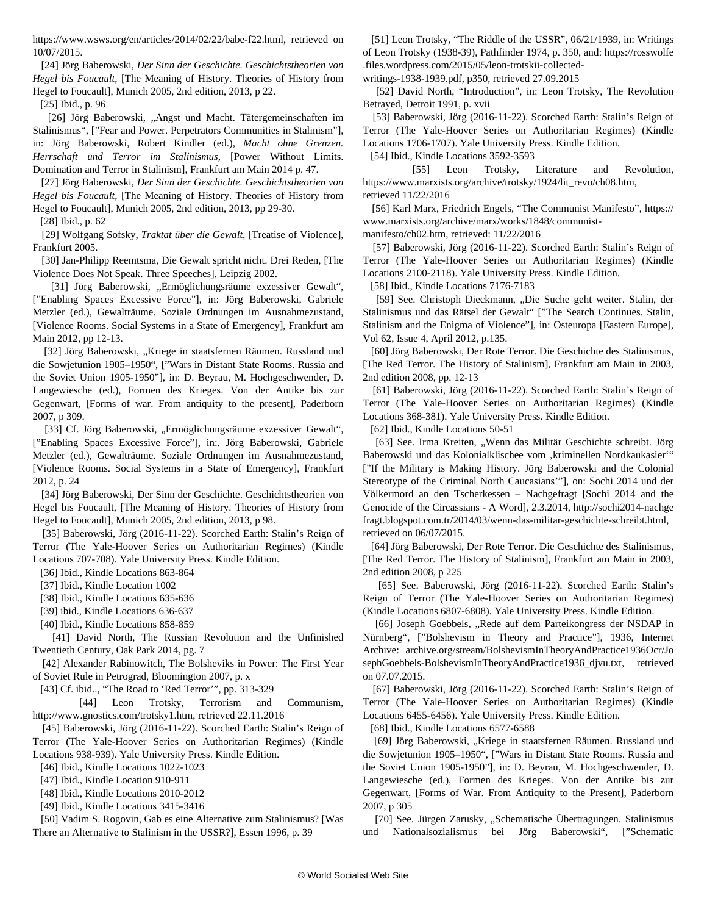https://www.wsws.org/en/articles/2014/02/22/babe-f22.html, retrieved on 10/07/2015.

 [24] Jörg Baberowski, *Der Sinn der Geschichte. Geschichtstheorien von Hegel bis Foucault,* [The Meaning of History. Theories of History from Hegel to Foucault], Munich 2005, 2nd edition, 2013, p 22.

[25] Ibid., p. 96

[26] Jörg Baberowski, "Angst und Macht. Tätergemeinschaften im Stalinismus", ["Fear and Power. Perpetrators Communities in Stalinism"], in: Jörg Baberowski, Robert Kindler (ed.), *Macht ohne Grenzen. Herrschaft und Terror im Stalinismus,* [Power Without Limits. Domination and Terror in Stalinism], Frankfurt am Main 2014 p. 47.

 [27] Jörg Baberowski, *Der Sinn der Geschichte. Geschichtstheorien von Hegel bis Foucault,* [The Meaning of History. Theories of History from Hegel to Foucault], Munich 2005, 2nd edition, 2013, pp 29-30.

[28] Ibid., p. 62

 [29] Wolfgang Sofsky, *Traktat über die Gewalt,* [Treatise of Violence], Frankfurt 2005.

 [30] Jan-Philipp Reemtsma, Die Gewalt spricht nicht. Drei Reden, [The Violence Does Not Speak. Three Speeches], Leipzig 2002.

[31] Jörg Baberowski, "Ermöglichungsräume exzessiver Gewalt", ["Enabling Spaces Excessive Force"], in: Jörg Baberowski, Gabriele Metzler (ed.), Gewalträume. Soziale Ordnungen im Ausnahmezustand, [Violence Rooms. Social Systems in a State of Emergency], Frankfurt am Main 2012, pp 12-13.

[32] Jörg Baberowski, "Kriege in staatsfernen Räumen. Russland und die Sowjetunion 1905–1950", ["Wars in Distant State Rooms. Russia and the Soviet Union 1905-1950"], in: D. Beyrau, M. Hochgeschwender, D. Langewiesche (ed.), Formen des Krieges. Von der Antike bis zur Gegenwart, [Forms of war. From antiquity to the present], Paderborn 2007, p 309.

[33] Cf. Jörg Baberowski, "Ermöglichungsräume exzessiver Gewalt", ["Enabling Spaces Excessive Force"], in:. Jörg Baberowski, Gabriele Metzler (ed.), Gewalträume. Soziale Ordnungen im Ausnahmezustand, [Violence Rooms. Social Systems in a State of Emergency], Frankfurt 2012, p. 24

 [34] Jörg Baberowski, Der Sinn der Geschichte. Geschichtstheorien von Hegel bis Foucault, [The Meaning of History. Theories of History from Hegel to Foucault], Munich 2005, 2nd edition, 2013, p 98.

 [35] Baberowski, Jörg (2016-11-22). Scorched Earth: Stalin's Reign of Terror (The Yale-Hoover Series on Authoritarian Regimes) (Kindle Locations 707-708). Yale University Press. Kindle Edition.

[36] Ibid., Kindle Locations 863-864

[37] Ibid., Kindle Location 1002

[38] Ibid., Kindle Locations 635-636

[39] ibid., Kindle Locations 636-637

[40] Ibid., Kindle Locations 858-859

 [41] David North, The Russian Revolution and the Unfinished Twentieth Century, Oak Park 2014, pg. 7

 [42] Alexander Rabinowitch, The Bolsheviks in Power: The First Year of Soviet Rule in Petrograd, Bloomington 2007, p. x

[43] Cf. ibid.., "The Road to 'Red Terror'", pp. 313-329

 [44] Leon Trotsky, Terrorism and Communism, http://www.gnostics.com/trotsky1.htm, retrieved 22.11.2016

 [45] Baberowski, Jörg (2016-11-22). Scorched Earth: Stalin's Reign of Terror (The Yale-Hoover Series on Authoritarian Regimes) (Kindle Locations 938-939). Yale University Press. Kindle Edition.

[46] Ibid., Kindle Locations 1022-1023

[47] Ibid., Kindle Location 910-911

[48] Ibid., Kindle Locations 2010-2012

[49] Ibid., Kindle Locations 3415-3416

 [50] Vadim S. Rogovin, Gab es eine Alternative zum Stalinismus? [Was There an Alternative to Stalinism in the USSR?], Essen 1996, p. 39

 [51] Leon Trotsky, "The Riddle of the USSR", 06/21/1939, in: Writings of Leon Trotsky (1938-39), Pathfinder 1974, p. 350, and: https://rosswolfe .files.wordpress.com/2015/05/leon-trotskii-collected-

writings-1938-1939.pdf, p350, retrieved 27.09.2015

 [52] David North, "Introduction", in: Leon Trotsky, The Revolution Betrayed, Detroit 1991, p. xvii

 [53] Baberowski, Jörg (2016-11-22). Scorched Earth: Stalin's Reign of Terror (The Yale-Hoover Series on Authoritarian Regimes) (Kindle Locations 1706-1707). Yale University Press. Kindle Edition.

[54] Ibid., Kindle Locations 3592-3593

[55] Leon Trotsky, Literature and Revolution, https://www.marxists.org/archive/trotsky/1924/lit\_revo/ch08.htm, retrieved 11/22/2016

 [56] Karl Marx, Friedrich Engels, "The Communist Manifesto", https:// www.marxists.org/archive/marx/works/1848/communist-

manifesto/ch02.htm, retrieved: 11/22/2016

 [57] Baberowski, Jörg (2016-11-22). Scorched Earth: Stalin's Reign of Terror (The Yale-Hoover Series on Authoritarian Regimes) (Kindle Locations 2100-2118). Yale University Press. Kindle Edition.

[58] Ibid., Kindle Locations 7176-7183

[59] See. Christoph Dieckmann, "Die Suche geht weiter. Stalin, der Stalinismus und das Rätsel der Gewalt" ["The Search Continues. Stalin, Stalinism and the Enigma of Violence"], in: Osteuropa [Eastern Europe], Vol 62, Issue 4, April 2012, p.135.

 [60] Jörg Baberowski, Der Rote Terror. Die Geschichte des Stalinismus, [The Red Terror. The History of Stalinism], Frankfurt am Main in 2003, 2nd edition 2008, pp. 12-13

 [61] Baberowski, Jörg (2016-11-22). Scorched Earth: Stalin's Reign of Terror (The Yale-Hoover Series on Authoritarian Regimes) (Kindle Locations 368-381). Yale University Press. Kindle Edition.

[62] Ibid., Kindle Locations 50-51

[63] See. Irma Kreiten, "Wenn das Militär Geschichte schreibt. Jörg Baberowski und das Kolonialklischee vom ,kriminellen Nordkaukasier"" ["If the Military is Making History. Jörg Baberowski and the Colonial Stereotype of the Criminal North Caucasians'"], on: Sochi 2014 und der Völkermord an den Tscherkessen – Nachgefragt [Sochi 2014 and the Genocide of the Circassians - A Word], 2.3.2014, http://sochi2014-nachge fragt.blogspot.com.tr/2014/03/wenn-das-militar-geschichte-schreibt.html, retrieved on 06/07/2015.

 [64] Jörg Baberowski, Der Rote Terror. Die Geschichte des Stalinismus, [The Red Terror. The History of Stalinism], Frankfurt am Main in 2003, 2nd edition 2008, p 225

 [65] See. Baberowski, Jörg (2016-11-22). Scorched Earth: Stalin's Reign of Terror (The Yale-Hoover Series on Authoritarian Regimes) (Kindle Locations 6807-6808). Yale University Press. Kindle Edition.

[66] Joseph Goebbels, "Rede auf dem Parteikongress der NSDAP in Nürnberg", ["Bolshevism in Theory and Practice"], 1936, Internet Archive: archive.org/stream/BolshevismInTheoryAndPractice1936Ocr/Jo sephGoebbels-BolshevismInTheoryAndPractice1936\_djvu.txt, retrieved on 07.07.2015.

 [67] Baberowski, Jörg (2016-11-22). Scorched Earth: Stalin's Reign of Terror (The Yale-Hoover Series on Authoritarian Regimes) (Kindle Locations 6455-6456). Yale University Press. Kindle Edition.

[68] Ibid., Kindle Locations 6577-6588

[69] Jörg Baberowski, "Kriege in staatsfernen Räumen. Russland und die Sowjetunion 1905–1950", ["Wars in Distant State Rooms. Russia and the Soviet Union 1905-1950"], in: D. Beyrau, M. Hochgeschwender, D. Langewiesche (ed.), Formen des Krieges. Von der Antike bis zur Gegenwart, [Forms of War. From Antiquity to the Present], Paderborn 2007, p 305

[70] See. Jürgen Zarusky, "Schematische Übertragungen. Stalinismus und Nationalsozialismus bei Jörg Baberowski", ["Schematic